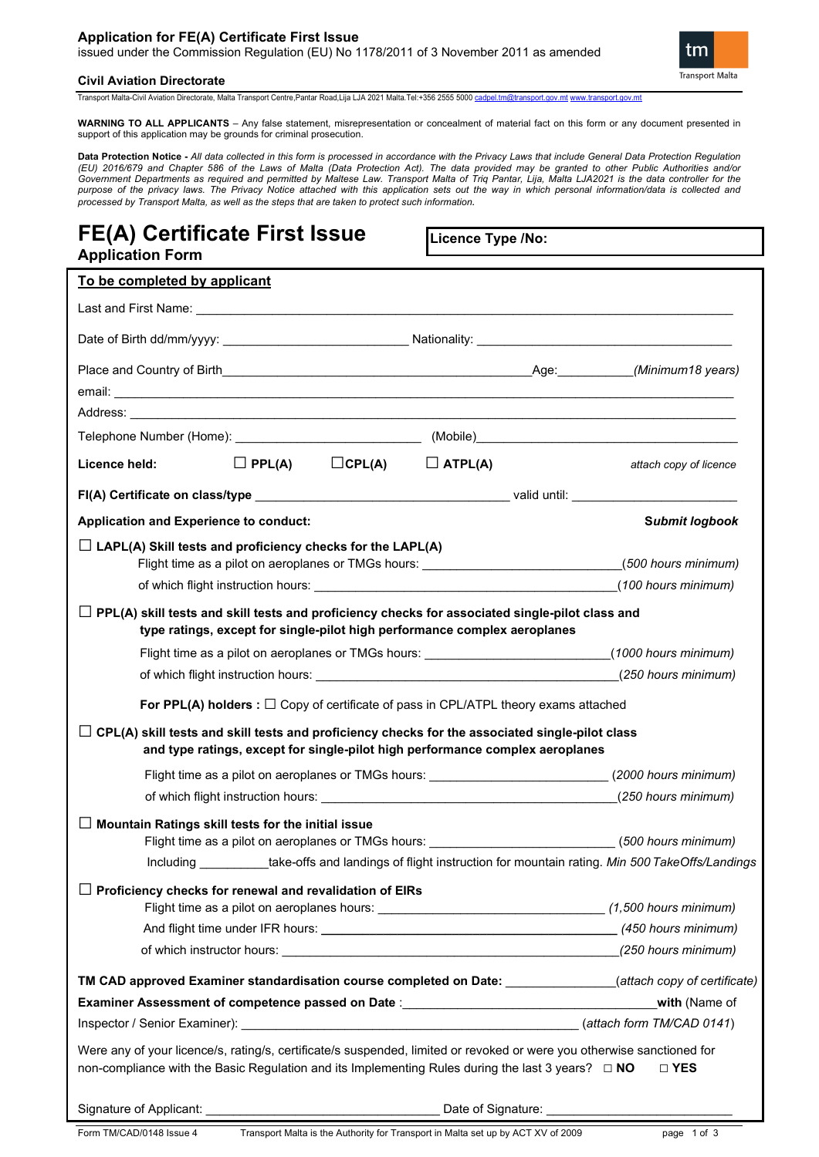## **Application for FE(A) Certificate First Issue**

issued under the Commission Regulation (EU) No 1178/2011 of 3 November 2011 as amended



**Civil Aviation Directorate**

Transport Malta-Civil Aviation Directorate, Malta Transport Centre,Pantar Road,Lija LJA 2021 Malta.Tel:+356 2555 5000 ca

**WARNING TO ALL APPLICANTS** – Any false statement, misrepresentation or concealment of material fact on this form or any document presented in support of this application may be grounds for criminal prosecution.

**Data Protection Notice -** All data collected in this form is processed in accordance with the Privacy Laws that include General Data Protection Regulation<br>(EU) 2016/679 and Chapter 586 of the Laws of Malta (Data Protectio *Government Departments as required and permitted by Maltese Law. Transport Malta of Triq Pantar, Lija, Malta LJA2021 is the data controller for the purpose of the privacy laws. The Privacy Notice attached with this application sets out the way in which personal information/data is collected and processed by Transport Malta, as well as the steps that are taken to protect such information.*

# **FE(A) Certificate First Issue Application Form**

**Licence Type /No:** 

| To be completed by applicant                                                                                                                                                                                                                                                                                                                                                                |                              |                        |
|---------------------------------------------------------------------------------------------------------------------------------------------------------------------------------------------------------------------------------------------------------------------------------------------------------------------------------------------------------------------------------------------|------------------------------|------------------------|
|                                                                                                                                                                                                                                                                                                                                                                                             |                              |                        |
|                                                                                                                                                                                                                                                                                                                                                                                             |                              |                        |
| email: <u>exactly</u> and the contract of the contract of the contract of the contract of the contract of the contract of the contract of the contract of the contract of the contract of the contract of the contract of the contr                                                                                                                                                         |                              |                        |
|                                                                                                                                                                                                                                                                                                                                                                                             |                              |                        |
|                                                                                                                                                                                                                                                                                                                                                                                             |                              |                        |
| $\Box$ PPL(A)<br>Licence held:                                                                                                                                                                                                                                                                                                                                                              | $\Box$ CPL(A) $\Box$ ATPL(A) | attach copy of licence |
|                                                                                                                                                                                                                                                                                                                                                                                             |                              |                        |
| Application and Experience to conduct:                                                                                                                                                                                                                                                                                                                                                      |                              | <b>Submit logbook</b>  |
| $\Box$ LAPL(A) Skill tests and proficiency checks for the LAPL(A)<br>Flight time as a pilot on aeroplanes or TMGs hours: ____________________________<br>PPL(A) skill tests and skill tests and proficiency checks for associated single-pilot class and<br>type ratings, except for single-pilot high performance complex aeroplanes                                                       |                              | (500 hours minimum)    |
| Flight time as a pilot on aeroplanes or TMGs hours: __________________________(1000 hours minimum)                                                                                                                                                                                                                                                                                          |                              |                        |
| of which flight instruction hours: (250 hours minimum)                                                                                                                                                                                                                                                                                                                                      |                              |                        |
| For PPL(A) holders : $\Box$ Copy of certificate of pass in CPL/ATPL theory exams attached<br>$\Box$ CPL(A) skill tests and skill tests and proficiency checks for the associated single-pilot class<br>and type ratings, except for single-pilot high performance complex aeroplanes<br>Flight time as a pilot on aeroplanes or TMGs hours: ___________________________(2000 hours minimum) |                              |                        |
|                                                                                                                                                                                                                                                                                                                                                                                             |                              |                        |
| Mountain Ratings skill tests for the initial issue<br>$\mathsf{L}$<br>Flight time as a pilot on aeroplanes or TMGs hours: _____________________________(500 hours minimum)<br>Including ___________take-offs and landings of flight instruction for mountain rating. Min 500 TakeOffs/Landings                                                                                              |                              |                        |
| $\Box$ Proficiency checks for renewal and revalidation of EIRs                                                                                                                                                                                                                                                                                                                              |                              |                        |
| TM CAD approved Examiner standardisation course completed on Date: ____________(attach copy of certificate)                                                                                                                                                                                                                                                                                 |                              |                        |
| Examiner Assessment of competence passed on Date : _____________________________                                                                                                                                                                                                                                                                                                            |                              | with (Name of          |
|                                                                                                                                                                                                                                                                                                                                                                                             |                              |                        |
| Were any of your licence/s, rating/s, certificate/s suspended, limited or revoked or were you otherwise sanctioned for<br>non-compliance with the Basic Regulation and its Implementing Rules during the last 3 years? □ NO<br>□ YES                                                                                                                                                        |                              |                        |
|                                                                                                                                                                                                                                                                                                                                                                                             |                              |                        |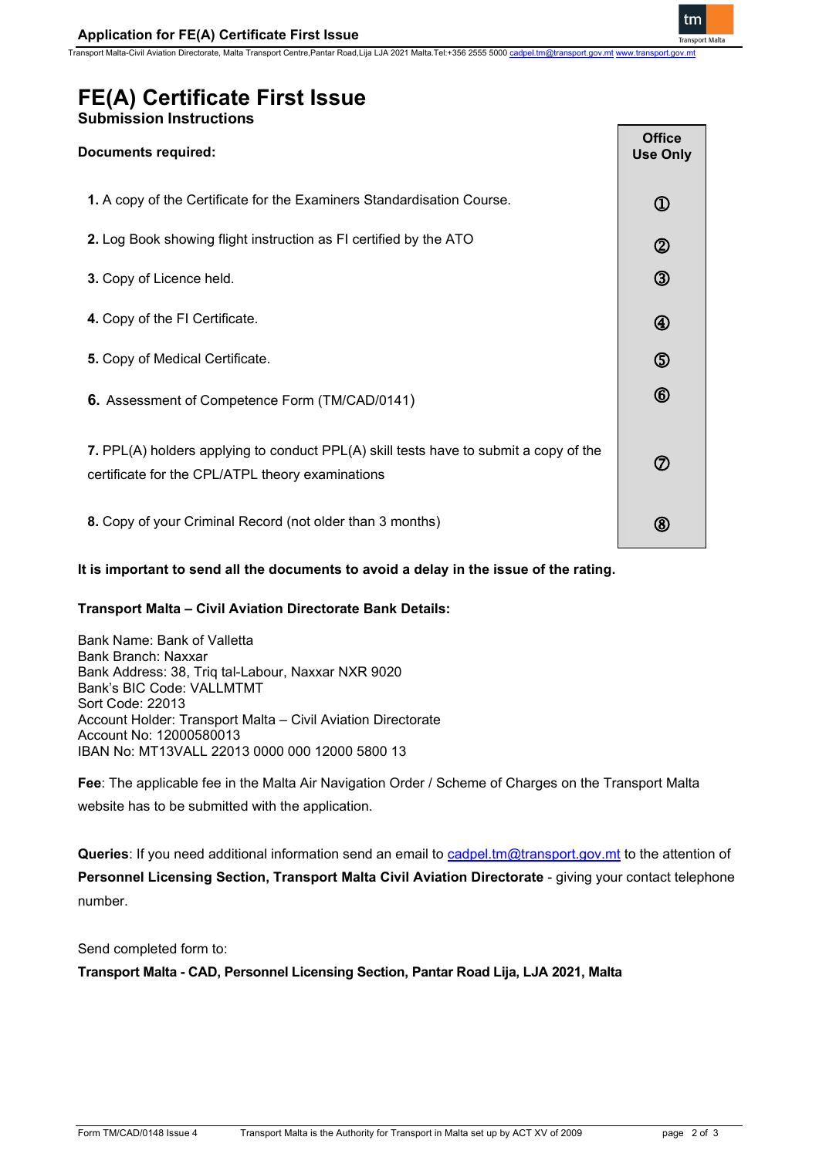Transport Malta-Civil Aviation Directorate, Malta Transport Centre,Pantar Road,Lija LJA 2021 Malta.Tel:+356 2555 5000



# **FE(A) Certificate First Issue**

# **Submission Instructions**

# **Documents required: 1.** A copy of the Certificate for the Examiners Standardisation Course. **2.** Log Book showing flight instruction as FI certified by the ATO **3.** Copy of Licence held. **4.** Copy of the FI Certificate. **5.** Copy of Medical Certificate. **6.** Assessment of Competence Form (TM/CAD/0141) **7.** PPL(A) holders applying to conduct PPL(A) skill tests have to submit a copy of the certificate for the CPL/ATPL theory examinations **8.** Copy of your Criminal Record (not older than 3 months) **Office Use Only**  $^{\textcircled{\scriptsize{1}}}$  $\circled{2}$  $\circledS$ 4 ග  $\circled6$ ⑦ (8)

# **It is important to send all the documents to avoid a delay in the issue of the rating.**

# **Transport Malta – Civil Aviation Directorate Bank Details:**

Bank Name: Bank of Valletta Bank Branch: Naxxar Bank Address: 38, Triq tal-Labour, Naxxar NXR 9020 Bank's BIC Code: VALLMTMT Sort Code: 22013 Account Holder: Transport Malta – Civil Aviation Directorate Account No: 12000580013 IBAN No: MT13VALL 22013 0000 000 12000 5800 13

**Fee**: The applicable fee in the Malta Air Navigation Order / Scheme of Charges on the Transport Malta website has to be submitted with the application.

**Queries**: If you need additional information send an email to [cadpel.tm@transport.gov.mt](mailto:cadpel.tm@transport.gov.mt) to the attention of **Personnel Licensing Section, Transport Malta Civil Aviation Directorate** - giving your contact telephone number.

## Send completed form to:

**Transport Malta - CAD, Personnel Licensing Section, Pantar Road Lija, LJA 2021, Malta**